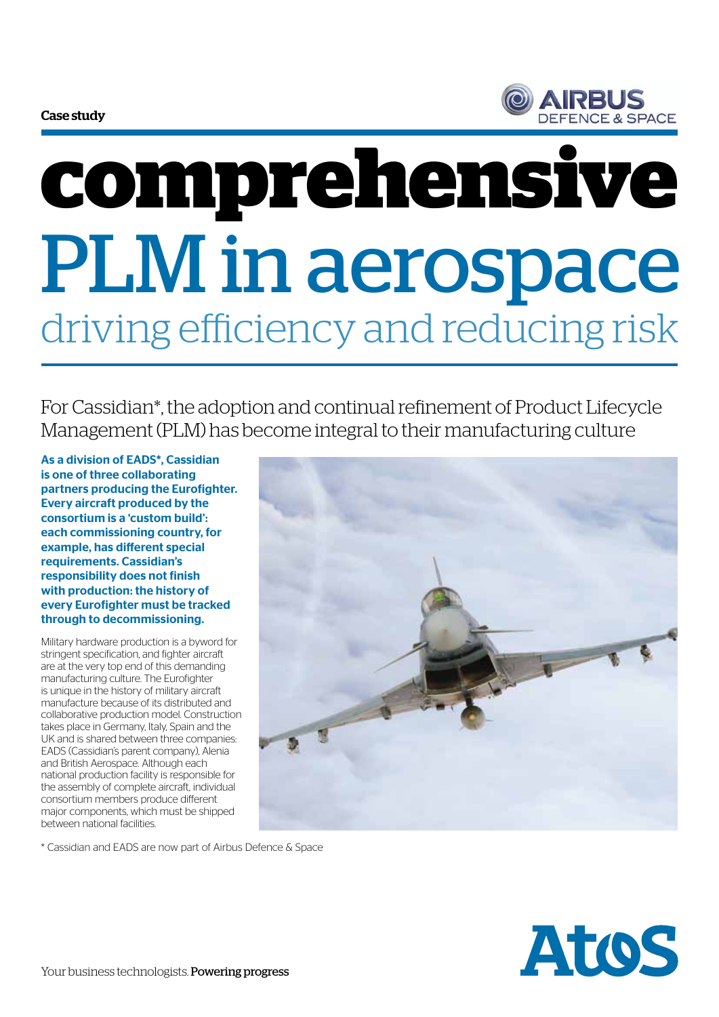

# **comprehensive** PLM in aerospace driving efficiency and reducing risk

For Cassidian\*, the adoption and continual refinement of Product Lifecycle Management (PLM) has become integral to their manufacturing culture

As a division of EADS\*, Cassidian is one of three collaborating partners producing the Eurofighter. Every aircraft produced by the consortium is a 'custom build': each commissioning country, for example, has different special requirements. Cassidian's responsibility does not finish with production: the history of every Eurofighter must be tracked through to decommissioning.

Military hardware production is a byword for stringent specification, and fighter aircraft are at the very top end of this demanding manufacturing culture. The Eurofighter is unique in the history of military aircraft manufacture because of its distributed and collaborative production model. Construction takes place in Germany, Italy, Spain and the UK and is shared between three companies: EADS (Cassidian's parent company), Alenia and British Aerospace. Although each national production facility is responsible for the assembly of complete aircraft, individual consortium members produce different major components, which must be shipped between national facilities.



\* Cassidian and EADS are now part of Airbus Defence & Space

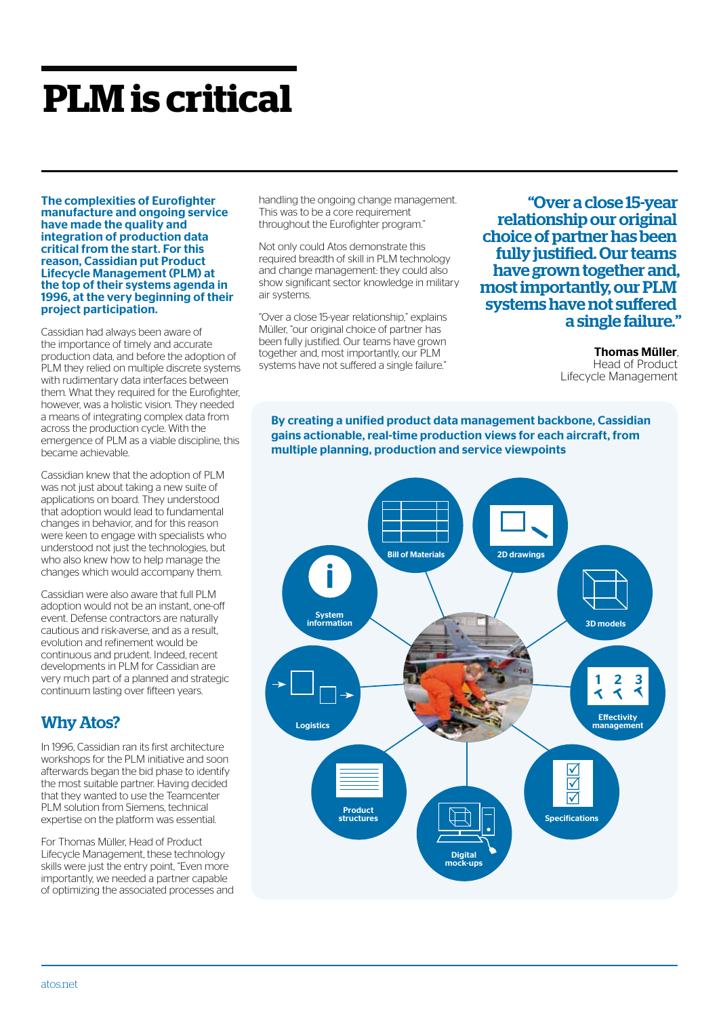## **PLM is critical**

The complexities of Eurofighter manufacture and ongoing service have made the quality and integration of production data critical from the start. For this reason, Cassidian put Product Lifecycle Management (PLM) at the top of their systems agenda in 1996, at the very beginning of their project participation.

Cassidian had always been aware of the importance of timely and accurate production data, and before the adoption of PLM they relied on multiple discrete systems with rudimentary data interfaces between them. What they required for the Eurofighter, however, was a holistic vision. They needed a means of integrating complex data from across the production cycle. With the emergence of PLM as a viable discipline, this became achievable.

Cassidian knew that the adoption of PLM was not just about taking a new suite of applications on board. They understood that adoption would lead to fundamental changes in behavior, and for this reason were keen to engage with specialists who understood not just the technologies, but who also knew how to help manage the changes which would accompany them.

Cassidian were also aware that full PLM adoption would not be an instant, one-off event. Defense contractors are naturally cautious and risk-averse, and as a result, evolution and refinement would be continuous and prudent. Indeed, recent developments in PLM for Cassidian are very much part of a planned and strategic continuum lasting over fifteen years.

### Why Atos?

In 1996, Cassidian ran its first architecture workshops for the PLM initiative and soon afterwards began the bid phase to identify the most suitable partner. Having decided that they wanted to use the Teamcenter PLM solution from Siemens, technical expertise on the platform was essential.

For Thomas Müller, Head of Product Lifecycle Management, these technology skills were just the entry point, "Even more importantly, we needed a partner capable of optimizing the associated processes and handling the ongoing change management. This was to be a core requirement throughout the Eurofighter program."

Not only could Atos demonstrate this required breadth of skill in PLM technology and change management: they could also show significant sector knowledge in military air systems.

"Over a close 15-year relationship," explains Müller, "our original choice of partner has been fully justified. Our teams have grown together and, most importantly, our PLM systems have not suffered a single failure."

"Over a close 15-year relationship our original choice of partner has been fully justified. Our teams have grown together and, most importantly, our PLM systems have not suffered a single failure."

> **Thomas Müller,**<br>Head of Product Lifecycle Management

By creating a unified product data management backbone, Cassidian gains actionable, real-time production views for each aircraft, from multiple planning, production and service viewpoints

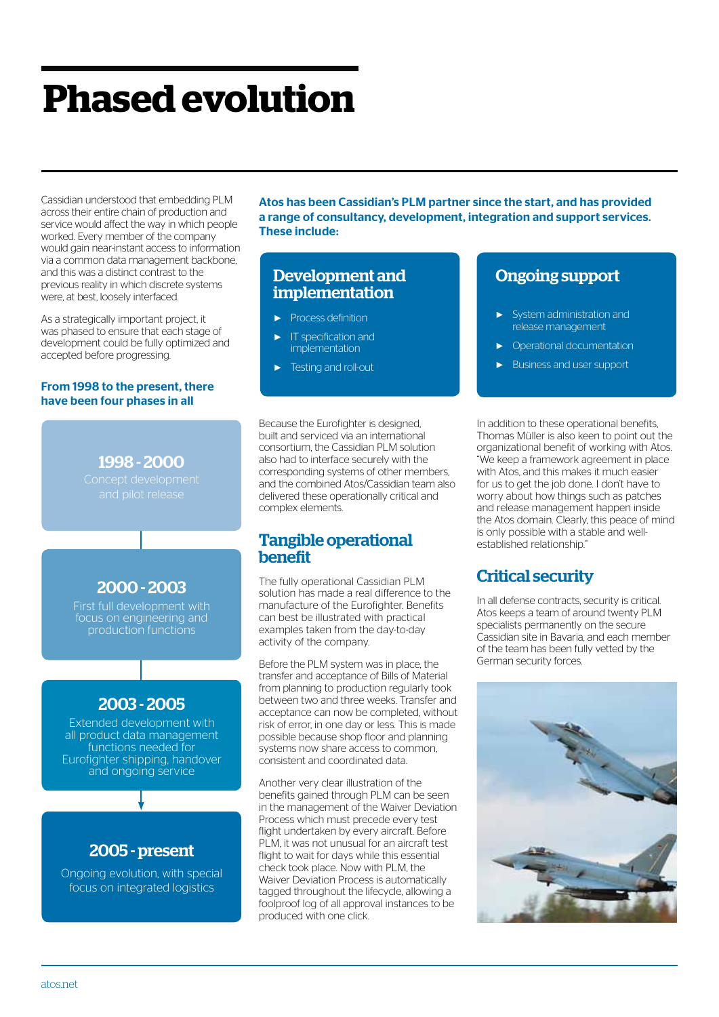### **Phased evolution**

Cassidian understood that embedding PLM across their entire chain of production and service would affect the way in which people worked. Every member of the company would gain near-instant access to information via a common data management backbone, and this was a distinct contrast to the previous reality in which discrete systems were, at best, loosely interfaced.

As a strategically important project, it was phased to ensure that each stage of development could be fully optimized and accepted before progressing.

#### From 1998 to the present, there have been four phases in all

1998 - 2000

#### 2000 - 2003

First full development with focus on engineering and production functions

#### 2003 - 2005

Extended development with all product data management functions needed for Eurofighter shipping, handover and ongoing service

#### 2005 - present

Ongoing evolution, with special focus on integrated logistics

Atos has been Cassidian's PLM partner since the start, and has provided a range of consultancy, development, integration and support services. These include:

#### Development and implementation

- ▶ Process definition
- IT specification and implementation
- ▶ Testing and roll-out

Because the Eurofighter is designed, built and serviced via an international consortium, the Cassidian PLM solution also had to interface securely with the corresponding systems of other members, and the combined Atos/Cassidian team also delivered these operationally critical and complex elements.

#### Tangible operational benefit

The fully operational Cassidian PLM solution has made a real difference to the manufacture of the Eurofighter. Benefits can best be illustrated with practical examples taken from the day-to-day activity of the company.

Before the PLM system was in place, the transfer and acceptance of Bills of Material from planning to production regularly took between two and three weeks. Transfer and acceptance can now be completed, without risk of error, in one day or less. This is made possible because shop floor and planning systems now share access to common, consistent and coordinated data.

Another very clear illustration of the benefits gained through PLM can be seen in the management of the Waiver Deviation Process which must precede every test flight undertaken by every aircraft. Before PLM, it was not unusual for an aircraft test flight to wait for days while this essential check took place. Now with PLM, the Waiver Deviation Process is automatically tagged throughout the lifecycle, allowing a foolproof log of all approval instances to be produced with one click.

#### Ongoing support

- System administration and release management
- **Operational documentation**
- **Business and user support**

In addition to these operational benefits, Thomas Müller is also keen to point out the organizational benefit of working with Atos. "We keep a framework agreement in place with Atos, and this makes it much easier for us to get the job done. I don't have to worry about how things such as patches and release management happen inside the Atos domain. Clearly, this peace of mind is only possible with a stable and wellestablished relationship."

### Critical security

In all defense contracts, security is critical. Atos keeps a team of around twenty PLM specialists permanently on the secure Cassidian site in Bavaria, and each member of the team has been fully vetted by the German security forces.